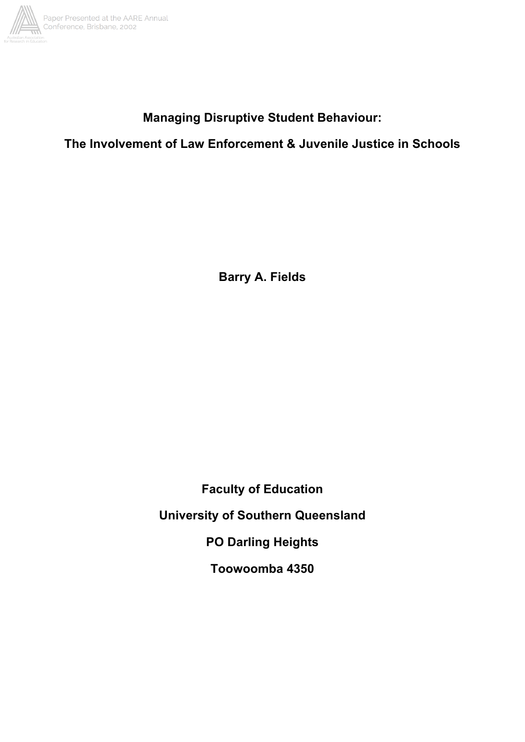

# **Managing Disruptive Student Behaviour:**

**The Involvement of Law Enforcement & Juvenile Justice in Schools**

**Barry A. Fields**

**Faculty of Education University of Southern Queensland PO Darling Heights Toowoomba 4350**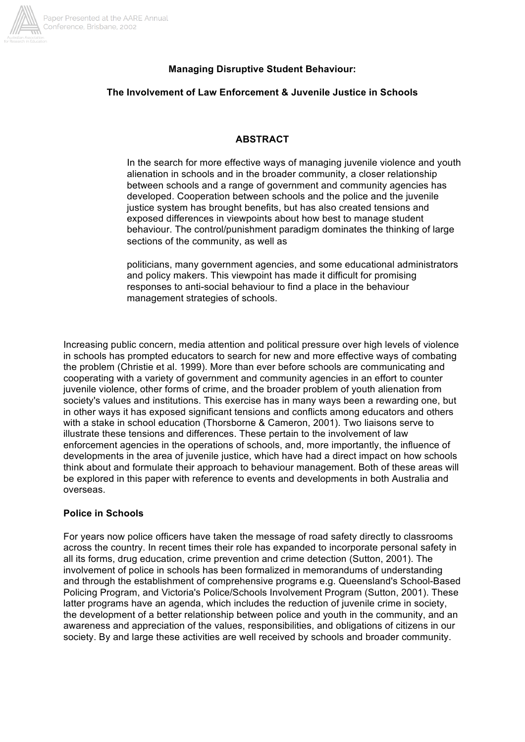

## **Managing Disruptive Student Behaviour:**

#### **The Involvement of Law Enforcement & Juvenile Justice in Schools**

#### **ABSTRACT**

In the search for more effective ways of managing juvenile violence and youth alienation in schools and in the broader community, a closer relationship between schools and a range of government and community agencies has developed. Cooperation between schools and the police and the juvenile justice system has brought benefits, but has also created tensions and exposed differences in viewpoints about how best to manage student behaviour. The control/punishment paradigm dominates the thinking of large sections of the community, as well as

politicians, many government agencies, and some educational administrators and policy makers. This viewpoint has made it difficult for promising responses to anti-social behaviour to find a place in the behaviour management strategies of schools.

Increasing public concern, media attention and political pressure over high levels of violence in schools has prompted educators to search for new and more effective ways of combating the problem (Christie et al. 1999). More than ever before schools are communicating and cooperating with a variety of government and community agencies in an effort to counter juvenile violence, other forms of crime, and the broader problem of youth alienation from society's values and institutions. This exercise has in many ways been a rewarding one, but in other ways it has exposed significant tensions and conflicts among educators and others with a stake in school education (Thorsborne & Cameron, 2001). Two liaisons serve to illustrate these tensions and differences. These pertain to the involvement of law enforcement agencies in the operations of schools, and, more importantly, the influence of developments in the area of juvenile justice, which have had a direct impact on how schools think about and formulate their approach to behaviour management. Both of these areas will be explored in this paper with reference to events and developments in both Australia and overseas.

#### **Police in Schools**

For years now police officers have taken the message of road safety directly to classrooms across the country. In recent times their role has expanded to incorporate personal safety in all its forms, drug education, crime prevention and crime detection (Sutton, 2001). The involvement of police in schools has been formalized in memorandums of understanding and through the establishment of comprehensive programs e.g. Queensland's School-Based Policing Program, and Victoria's Police/Schools Involvement Program (Sutton, 2001). These latter programs have an agenda, which includes the reduction of juvenile crime in society, the development of a better relationship between police and youth in the community, and an awareness and appreciation of the values, responsibilities, and obligations of citizens in our society. By and large these activities are well received by schools and broader community.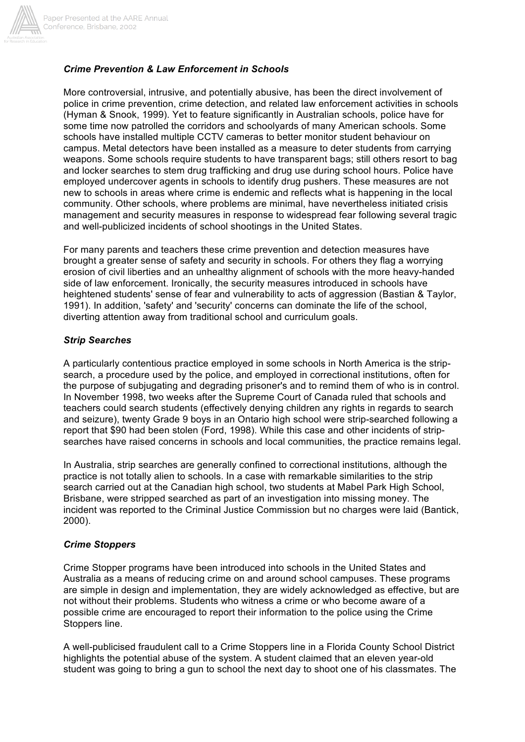

## *Crime Prevention & Law Enforcement in Schools*

More controversial, intrusive, and potentially abusive, has been the direct involvement of police in crime prevention, crime detection, and related law enforcement activities in schools (Hyman & Snook, 1999). Yet to feature significantly in Australian schools, police have for some time now patrolled the corridors and schoolyards of many American schools. Some schools have installed multiple CCTV cameras to better monitor student behaviour on campus. Metal detectors have been installed as a measure to deter students from carrying weapons. Some schools require students to have transparent bags; still others resort to bag and locker searches to stem drug trafficking and drug use during school hours. Police have employed undercover agents in schools to identify drug pushers. These measures are not new to schools in areas where crime is endemic and reflects what is happening in the local community. Other schools, where problems are minimal, have nevertheless initiated crisis management and security measures in response to widespread fear following several tragic and well-publicized incidents of school shootings in the United States.

For many parents and teachers these crime prevention and detection measures have brought a greater sense of safety and security in schools. For others they flag a worrying erosion of civil liberties and an unhealthy alignment of schools with the more heavy-handed side of law enforcement. Ironically, the security measures introduced in schools have heightened students' sense of fear and vulnerability to acts of aggression (Bastian & Taylor, 1991). In addition, 'safety' and 'security' concerns can dominate the life of the school, diverting attention away from traditional school and curriculum goals.

#### *Strip Searches*

A particularly contentious practice employed in some schools in North America is the stripsearch, a procedure used by the police, and employed in correctional institutions, often for the purpose of subjugating and degrading prisoner's and to remind them of who is in control. In November 1998, two weeks after the Supreme Court of Canada ruled that schools and teachers could search students (effectively denying children any rights in regards to search and seizure), twenty Grade 9 boys in an Ontario high school were strip-searched following a report that \$90 had been stolen (Ford, 1998). While this case and other incidents of stripsearches have raised concerns in schools and local communities, the practice remains legal.

In Australia, strip searches are generally confined to correctional institutions, although the practice is not totally alien to schools. In a case with remarkable similarities to the strip search carried out at the Canadian high school, two students at Mabel Park High School, Brisbane, were stripped searched as part of an investigation into missing money. The incident was reported to the Criminal Justice Commission but no charges were laid (Bantick, 2000).

#### *Crime Stoppers*

Crime Stopper programs have been introduced into schools in the United States and Australia as a means of reducing crime on and around school campuses. These programs are simple in design and implementation, they are widely acknowledged as effective, but are not without their problems. Students who witness a crime or who become aware of a possible crime are encouraged to report their information to the police using the Crime Stoppers line.

A well-publicised fraudulent call to a Crime Stoppers line in a Florida County School District highlights the potential abuse of the system. A student claimed that an eleven year-old student was going to bring a gun to school the next day to shoot one of his classmates. The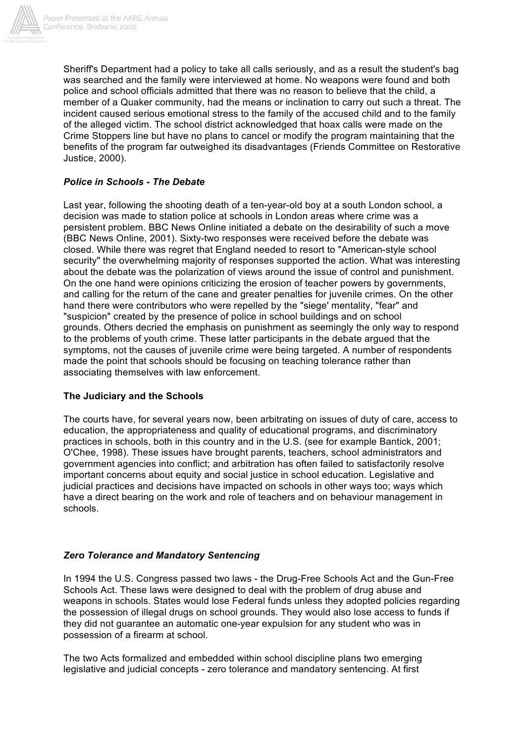

Sheriff's Department had a policy to take all calls seriously, and as a result the student's bag was searched and the family were interviewed at home. No weapons were found and both police and school officials admitted that there was no reason to believe that the child, a member of a Quaker community, had the means or inclination to carry out such a threat. The incident caused serious emotional stress to the family of the accused child and to the family of the alleged victim. The school district acknowledged that hoax calls were made on the Crime Stoppers line but have no plans to cancel or modify the program maintaining that the benefits of the program far outweighed its disadvantages (Friends Committee on Restorative Justice, 2000).

# *Police in Schools - The Debate*

Last year, following the shooting death of a ten-year-old boy at a south London school, a decision was made to station police at schools in London areas where crime was a persistent problem. BBC News Online initiated a debate on the desirability of such a move (BBC News Online, 2001). Sixty-two responses were received before the debate was closed. While there was regret that England needed to resort to "American-style school security" the overwhelming majority of responses supported the action. What was interesting about the debate was the polarization of views around the issue of control and punishment. On the one hand were opinions criticizing the erosion of teacher powers by governments, and calling for the return of the cane and greater penalties for juvenile crimes. On the other hand there were contributors who were repelled by the "siege' mentality, "fear" and "suspicion" created by the presence of police in school buildings and on school grounds. Others decried the emphasis on punishment as seemingly the only way to respond to the problems of youth crime. These latter participants in the debate argued that the symptoms, not the causes of juvenile crime were being targeted. A number of respondents made the point that schools should be focusing on teaching tolerance rather than associating themselves with law enforcement.

## **The Judiciary and the Schools**

The courts have, for several years now, been arbitrating on issues of duty of care, access to education, the appropriateness and quality of educational programs, and discriminatory practices in schools, both in this country and in the U.S. (see for example Bantick, 2001; O'Chee, 1998). These issues have brought parents, teachers, school administrators and government agencies into conflict; and arbitration has often failed to satisfactorily resolve important concerns about equity and social justice in school education. Legislative and judicial practices and decisions have impacted on schools in other ways too; ways which have a direct bearing on the work and role of teachers and on behaviour management in schools.

# *Zero Tolerance and Mandatory Sentencing*

In 1994 the U.S. Congress passed two laws - the Drug-Free Schools Act and the Gun-Free Schools Act. These laws were designed to deal with the problem of drug abuse and weapons in schools. States would lose Federal funds unless they adopted policies regarding the possession of illegal drugs on school grounds. They would also lose access to funds if they did not guarantee an automatic one-year expulsion for any student who was in possession of a firearm at school.

The two Acts formalized and embedded within school discipline plans two emerging legislative and judicial concepts - zero tolerance and mandatory sentencing. At first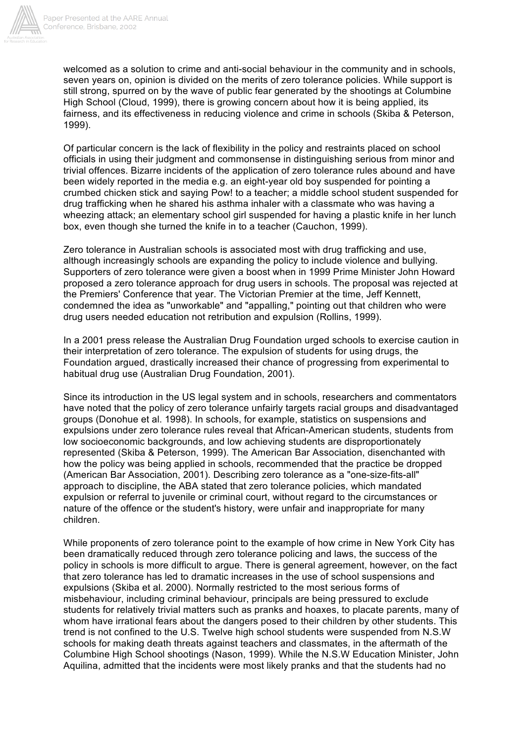

welcomed as a solution to crime and anti-social behaviour in the community and in schools, seven years on, opinion is divided on the merits of zero tolerance policies. While support is still strong, spurred on by the wave of public fear generated by the shootings at Columbine High School (Cloud, 1999), there is growing concern about how it is being applied, its fairness, and its effectiveness in reducing violence and crime in schools (Skiba & Peterson, 1999).

Of particular concern is the lack of flexibility in the policy and restraints placed on school officials in using their judgment and commonsense in distinguishing serious from minor and trivial offences. Bizarre incidents of the application of zero tolerance rules abound and have been widely reported in the media e.g. an eight-year old boy suspended for pointing a crumbed chicken stick and saying Pow! to a teacher; a middle school student suspended for drug trafficking when he shared his asthma inhaler with a classmate who was having a wheezing attack; an elementary school girl suspended for having a plastic knife in her lunch box, even though she turned the knife in to a teacher (Cauchon, 1999).

Zero tolerance in Australian schools is associated most with drug trafficking and use, although increasingly schools are expanding the policy to include violence and bullying. Supporters of zero tolerance were given a boost when in 1999 Prime Minister John Howard proposed a zero tolerance approach for drug users in schools. The proposal was rejected at the Premiers' Conference that year. The Victorian Premier at the time, Jeff Kennett, condemned the idea as "unworkable" and "appalling," pointing out that children who were drug users needed education not retribution and expulsion (Rollins, 1999).

In a 2001 press release the Australian Drug Foundation urged schools to exercise caution in their interpretation of zero tolerance. The expulsion of students for using drugs, the Foundation argued, drastically increased their chance of progressing from experimental to habitual drug use (Australian Drug Foundation, 2001).

Since its introduction in the US legal system and in schools, researchers and commentators have noted that the policy of zero tolerance unfairly targets racial groups and disadvantaged groups (Donohue et al. 1998). In schools, for example, statistics on suspensions and expulsions under zero tolerance rules reveal that African-American students, students from low socioeconomic backgrounds, and low achieving students are disproportionately represented (Skiba & Peterson, 1999). The American Bar Association, disenchanted with how the policy was being applied in schools, recommended that the practice be dropped (American Bar Association, 2001). Describing zero tolerance as a "one-size-fits-all" approach to discipline, the ABA stated that zero tolerance policies, which mandated expulsion or referral to juvenile or criminal court, without regard to the circumstances or nature of the offence or the student's history, were unfair and inappropriate for many children.

While proponents of zero tolerance point to the example of how crime in New York City has been dramatically reduced through zero tolerance policing and laws, the success of the policy in schools is more difficult to argue. There is general agreement, however, on the fact that zero tolerance has led to dramatic increases in the use of school suspensions and expulsions (Skiba et al. 2000). Normally restricted to the most serious forms of misbehaviour, including criminal behaviour, principals are being pressured to exclude students for relatively trivial matters such as pranks and hoaxes, to placate parents, many of whom have irrational fears about the dangers posed to their children by other students. This trend is not confined to the U.S. Twelve high school students were suspended from N.S.W schools for making death threats against teachers and classmates, in the aftermath of the Columbine High School shootings (Nason, 1999). While the N.S.W Education Minister, John Aquilina, admitted that the incidents were most likely pranks and that the students had no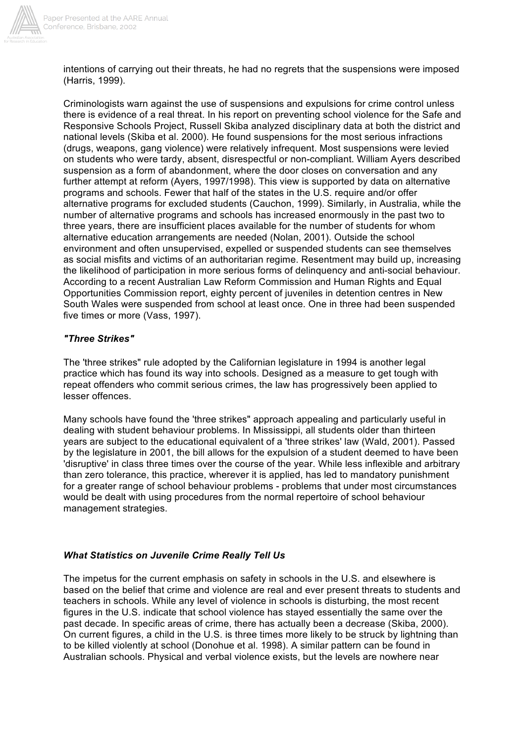

intentions of carrying out their threats, he had no regrets that the suspensions were imposed (Harris, 1999).

Criminologists warn against the use of suspensions and expulsions for crime control unless there is evidence of a real threat. In his report on preventing school violence for the Safe and Responsive Schools Project, Russell Skiba analyzed disciplinary data at both the district and national levels (Skiba et al. 2000). He found suspensions for the most serious infractions (drugs, weapons, gang violence) were relatively infrequent. Most suspensions were levied on students who were tardy, absent, disrespectful or non-compliant. William Ayers described suspension as a form of abandonment, where the door closes on conversation and any further attempt at reform (Ayers, 1997/1998). This view is supported by data on alternative programs and schools. Fewer that half of the states in the U.S. require and/or offer alternative programs for excluded students (Cauchon, 1999). Similarly, in Australia, while the number of alternative programs and schools has increased enormously in the past two to three years, there are insufficient places available for the number of students for whom alternative education arrangements are needed (Nolan, 2001). Outside the school environment and often unsupervised, expelled or suspended students can see themselves as social misfits and victims of an authoritarian regime. Resentment may build up, increasing the likelihood of participation in more serious forms of delinquency and anti-social behaviour. According to a recent Australian Law Reform Commission and Human Rights and Equal Opportunities Commission report, eighty percent of juveniles in detention centres in New South Wales were suspended from school at least once. One in three had been suspended five times or more (Vass, 1997).

# *"Three Strikes"*

The 'three strikes" rule adopted by the Californian legislature in 1994 is another legal practice which has found its way into schools. Designed as a measure to get tough with repeat offenders who commit serious crimes, the law has progressively been applied to lesser offences.

Many schools have found the 'three strikes" approach appealing and particularly useful in dealing with student behaviour problems. In Mississippi, all students older than thirteen years are subject to the educational equivalent of a 'three strikes' law (Wald, 2001). Passed by the legislature in 2001, the bill allows for the expulsion of a student deemed to have been 'disruptive' in class three times over the course of the year. While less inflexible and arbitrary than zero tolerance, this practice, wherever it is applied, has led to mandatory punishment for a greater range of school behaviour problems - problems that under most circumstances would be dealt with using procedures from the normal repertoire of school behaviour management strategies.

# *What Statistics on Juvenile Crime Really Tell Us*

The impetus for the current emphasis on safety in schools in the U.S. and elsewhere is based on the belief that crime and violence are real and ever present threats to students and teachers in schools. While any level of violence in schools is disturbing, the most recent figures in the U.S. indicate that school violence has stayed essentially the same over the past decade. In specific areas of crime, there has actually been a decrease (Skiba, 2000). On current figures, a child in the U.S. is three times more likely to be struck by lightning than to be killed violently at school (Donohue et al. 1998). A similar pattern can be found in Australian schools. Physical and verbal violence exists, but the levels are nowhere near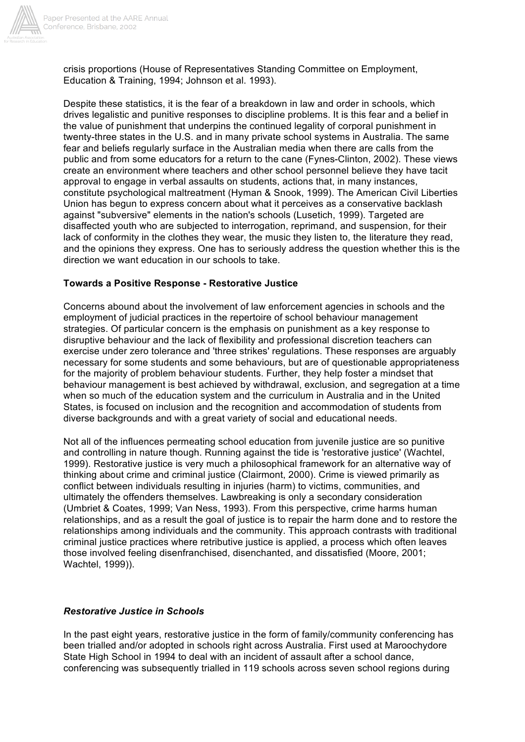

crisis proportions (House of Representatives Standing Committee on Employment, Education & Training, 1994; Johnson et al. 1993).

Despite these statistics, it is the fear of a breakdown in law and order in schools, which drives legalistic and punitive responses to discipline problems. It is this fear and a belief in the value of punishment that underpins the continued legality of corporal punishment in twenty-three states in the U.S. and in many private school systems in Australia. The same fear and beliefs regularly surface in the Australian media when there are calls from the public and from some educators for a return to the cane (Fynes-Clinton, 2002). These views create an environment where teachers and other school personnel believe they have tacit approval to engage in verbal assaults on students, actions that, in many instances, constitute psychological maltreatment (Hyman & Snook, 1999). The American Civil Liberties Union has begun to express concern about what it perceives as a conservative backlash against "subversive" elements in the nation's schools (Lusetich, 1999). Targeted are disaffected youth who are subjected to interrogation, reprimand, and suspension, for their lack of conformity in the clothes they wear, the music they listen to, the literature they read, and the opinions they express. One has to seriously address the question whether this is the direction we want education in our schools to take.

#### **Towards a Positive Response - Restorative Justice**

Concerns abound about the involvement of law enforcement agencies in schools and the employment of judicial practices in the repertoire of school behaviour management strategies. Of particular concern is the emphasis on punishment as a key response to disruptive behaviour and the lack of flexibility and professional discretion teachers can exercise under zero tolerance and 'three strikes' regulations. These responses are arguably necessary for some students and some behaviours, but are of questionable appropriateness for the majority of problem behaviour students. Further, they help foster a mindset that behaviour management is best achieved by withdrawal, exclusion, and segregation at a time when so much of the education system and the curriculum in Australia and in the United States, is focused on inclusion and the recognition and accommodation of students from diverse backgrounds and with a great variety of social and educational needs.

Not all of the influences permeating school education from juvenile justice are so punitive and controlling in nature though. Running against the tide is 'restorative justice' (Wachtel, 1999). Restorative justice is very much a philosophical framework for an alternative way of thinking about crime and criminal justice (Clairmont, 2000). Crime is viewed primarily as conflict between individuals resulting in injuries (harm) to victims, communities, and ultimately the offenders themselves. Lawbreaking is only a secondary consideration (Umbriet & Coates, 1999; Van Ness, 1993). From this perspective, crime harms human relationships, and as a result the goal of justice is to repair the harm done and to restore the relationships among individuals and the community. This approach contrasts with traditional criminal justice practices where retributive justice is applied, a process which often leaves those involved feeling disenfranchised, disenchanted, and dissatisfied (Moore, 2001; Wachtel, 1999)).

#### *Restorative Justice in Schools*

In the past eight years, restorative justice in the form of family/community conferencing has been trialled and/or adopted in schools right across Australia. First used at Maroochydore State High School in 1994 to deal with an incident of assault after a school dance, conferencing was subsequently trialled in 119 schools across seven school regions during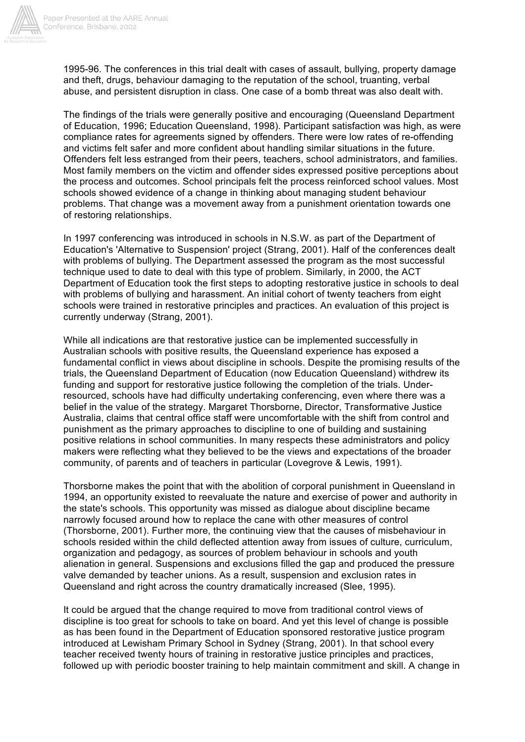

1995-96. The conferences in this trial dealt with cases of assault, bullying, property damage and theft, drugs, behaviour damaging to the reputation of the school, truanting, verbal abuse, and persistent disruption in class. One case of a bomb threat was also dealt with.

The findings of the trials were generally positive and encouraging (Queensland Department of Education, 1996; Education Queensland, 1998). Participant satisfaction was high, as were compliance rates for agreements signed by offenders. There were low rates of re-offending and victims felt safer and more confident about handling similar situations in the future. Offenders felt less estranged from their peers, teachers, school administrators, and families. Most family members on the victim and offender sides expressed positive perceptions about the process and outcomes. School principals felt the process reinforced school values. Most schools showed evidence of a change in thinking about managing student behaviour problems. That change was a movement away from a punishment orientation towards one of restoring relationships.

In 1997 conferencing was introduced in schools in N.S.W. as part of the Department of Education's 'Alternative to Suspension' project (Strang, 2001). Half of the conferences dealt with problems of bullying. The Department assessed the program as the most successful technique used to date to deal with this type of problem. Similarly, in 2000, the ACT Department of Education took the first steps to adopting restorative justice in schools to deal with problems of bullying and harassment. An initial cohort of twenty teachers from eight schools were trained in restorative principles and practices. An evaluation of this project is currently underway (Strang, 2001).

While all indications are that restorative justice can be implemented successfully in Australian schools with positive results, the Queensland experience has exposed a fundamental conflict in views about discipline in schools. Despite the promising results of the trials, the Queensland Department of Education (now Education Queensland) withdrew its funding and support for restorative justice following the completion of the trials. Underresourced, schools have had difficulty undertaking conferencing, even where there was a belief in the value of the strategy. Margaret Thorsborne, Director, Transformative Justice Australia, claims that central office staff were uncomfortable with the shift from control and punishment as the primary approaches to discipline to one of building and sustaining positive relations in school communities. In many respects these administrators and policy makers were reflecting what they believed to be the views and expectations of the broader community, of parents and of teachers in particular (Lovegrove & Lewis, 1991).

Thorsborne makes the point that with the abolition of corporal punishment in Queensland in 1994, an opportunity existed to reevaluate the nature and exercise of power and authority in the state's schools. This opportunity was missed as dialogue about discipline became narrowly focused around how to replace the cane with other measures of control (Thorsborne, 2001). Further more, the continuing view that the causes of misbehaviour in schools resided within the child deflected attention away from issues of culture, curriculum, organization and pedagogy, as sources of problem behaviour in schools and youth alienation in general. Suspensions and exclusions filled the gap and produced the pressure valve demanded by teacher unions. As a result, suspension and exclusion rates in Queensland and right across the country dramatically increased (Slee, 1995).

It could be argued that the change required to move from traditional control views of discipline is too great for schools to take on board. And yet this level of change is possible as has been found in the Department of Education sponsored restorative justice program introduced at Lewisham Primary School in Sydney (Strang, 2001). In that school every teacher received twenty hours of training in restorative justice principles and practices, followed up with periodic booster training to help maintain commitment and skill. A change in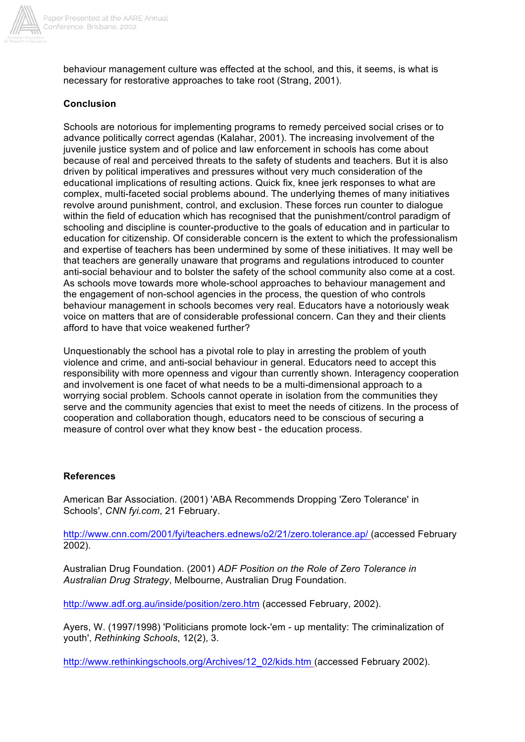

behaviour management culture was effected at the school, and this, it seems, is what is necessary for restorative approaches to take root (Strang, 2001).

# **Conclusion**

Schools are notorious for implementing programs to remedy perceived social crises or to advance politically correct agendas (Kalahar, 2001). The increasing involvement of the juvenile justice system and of police and law enforcement in schools has come about because of real and perceived threats to the safety of students and teachers. But it is also driven by political imperatives and pressures without very much consideration of the educational implications of resulting actions. Quick fix, knee jerk responses to what are complex, multi-faceted social problems abound. The underlying themes of many initiatives revolve around punishment, control, and exclusion. These forces run counter to dialogue within the field of education which has recognised that the punishment/control paradigm of schooling and discipline is counter-productive to the goals of education and in particular to education for citizenship. Of considerable concern is the extent to which the professionalism and expertise of teachers has been undermined by some of these initiatives. It may well be that teachers are generally unaware that programs and regulations introduced to counter anti-social behaviour and to bolster the safety of the school community also come at a cost. As schools move towards more whole-school approaches to behaviour management and the engagement of non-school agencies in the process, the question of who controls behaviour management in schools becomes very real. Educators have a notoriously weak voice on matters that are of considerable professional concern. Can they and their clients afford to have that voice weakened further?

Unquestionably the school has a pivotal role to play in arresting the problem of youth violence and crime, and anti-social behaviour in general. Educators need to accept this responsibility with more openness and vigour than currently shown. Interagency cooperation and involvement is one facet of what needs to be a multi-dimensional approach to a worrying social problem. Schools cannot operate in isolation from the communities they serve and the community agencies that exist to meet the needs of citizens. In the process of cooperation and collaboration though, educators need to be conscious of securing a measure of control over what they know best - the education process.

## **References**

American Bar Association. (2001) 'ABA Recommends Dropping 'Zero Tolerance' in Schools', *CNN fyi.com*, 21 February.

http://www.cnn.com/2001/fyi/teachers.ednews/o2/21/zero.tolerance.ap/ (accessed February 2002).

Australian Drug Foundation. (2001) *ADF Position on the Role of Zero Tolerance in Australian Drug Strategy*, Melbourne, Australian Drug Foundation.

http://www.adf.org.au/inside/position/zero.htm (accessed February, 2002).

Ayers, W. (1997/1998) 'Politicians promote lock-'em - up mentality: The criminalization of youth', *Rethinking Schools*, 12(2), 3.

http://www.rethinkingschools.org/Archives/12\_02/kids.htm (accessed February 2002).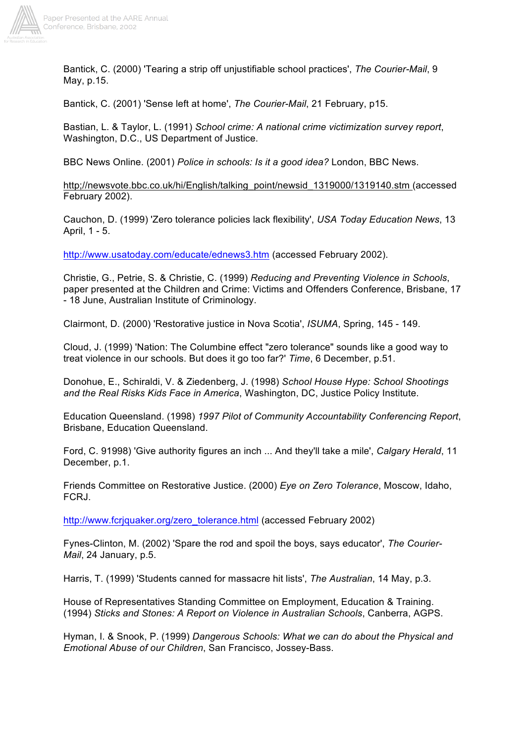

Bantick, C. (2000) 'Tearing a strip off unjustifiable school practices', *The Courier-Mail*, 9 May, p.15.

Bantick, C. (2001) 'Sense left at home', *The Courier-Mail*, 21 February, p15.

Bastian, L. & Taylor, L. (1991) *School crime: A national crime victimization survey report*, Washington, D.C., US Department of Justice.

BBC News Online. (2001) *Police in schools: Is it a good idea?* London, BBC News.

http;//newsvote.bbc.co.uk/hi/English/talking\_point/newsid\_1319000/1319140.stm (accessed February 2002).

Cauchon, D. (1999) 'Zero tolerance policies lack flexibility', *USA Today Education News*, 13 April, 1 - 5.

http://www.usatoday.com/educate/ednews3.htm (accessed February 2002).

Christie, G., Petrie, S. & Christie, C. (1999) *Reducing and Preventing Violence in Schools*, paper presented at the Children and Crime: Victims and Offenders Conference, Brisbane, 17 - 18 June, Australian Institute of Criminology.

Clairmont, D. (2000) 'Restorative justice in Nova Scotia', *ISUMA*, Spring, 145 - 149.

Cloud, J. (1999) 'Nation: The Columbine effect "zero tolerance" sounds like a good way to treat violence in our schools. But does it go too far?' *Time*, 6 December, p.51.

Donohue, E., Schiraldi, V. & Ziedenberg, J. (1998) *School House Hype: School Shootings and the Real Risks Kids Face in America*, Washington, DC, Justice Policy Institute.

Education Queensland. (1998) *1997 Pilot of Community Accountability Conferencing Report*, Brisbane, Education Queensland.

Ford, C. 91998) 'Give authority figures an inch ... And they'll take a mile', *Calgary Herald*, 11 December, p.1.

Friends Committee on Restorative Justice. (2000) *Eye on Zero Tolerance*, Moscow, Idaho, FCRJ.

http://www.fcrjquaker.org/zero\_tolerance.html (accessed February 2002)

Fynes-Clinton, M. (2002) 'Spare the rod and spoil the boys, says educator', *The Courier-Mail*, 24 January, p.5.

Harris, T. (1999) 'Students canned for massacre hit lists', *The Australian*, 14 May, p.3.

House of Representatives Standing Committee on Employment, Education & Training. (1994) *Sticks and Stones: A Report on Violence in Australian Schools*, Canberra, AGPS.

Hyman, I. & Snook, P. (1999) *Dangerous Schools: What we can do about the Physical and Emotional Abuse of our Children*, San Francisco, Jossey-Bass.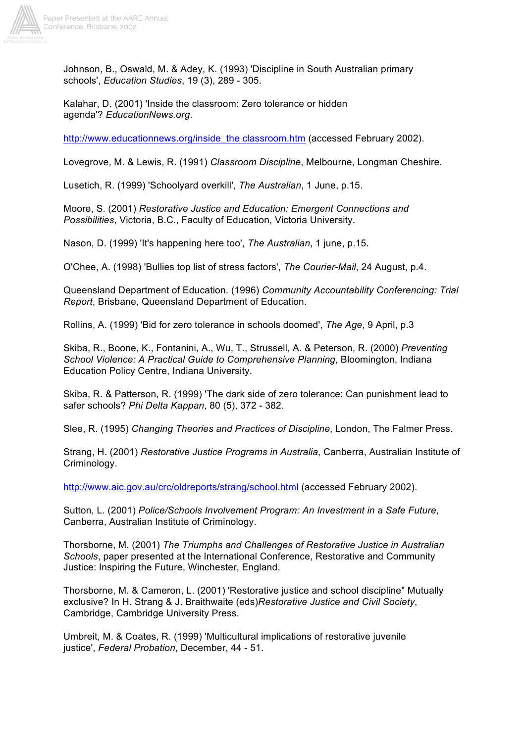

Johnson, B., Oswald, M. & Adey, K. (1993) 'Discipline in South Australian primary schools', *Education Studies*, 19 (3), 289 - 305.

Kalahar, D. (2001) 'Inside the classroom: Zero tolerance or hidden agenda'? *EducationNews.org*.

http://www.educationnews.org/inside\_the classroom.htm (accessed February 2002).

Lovegrove, M. & Lewis, R. (1991) *Classroom Discipline*, Melbourne, Longman Cheshire.

Lusetich, R. (1999) 'Schoolyard overkill', *The Australian*, 1 June, p.15.

Moore, S. (2001) *Restorative Justice and Education: Emergent Connections and Possibilities*, Victoria, B.C., Faculty of Education, Victoria University.

Nason, D. (1999) 'It's happening here too', *The Australian*, 1 june, p.15.

O'Chee, A. (1998) 'Bullies top list of stress factors', *The Courier-Mail*, 24 August, p.4.

Queensland Department of Education. (1996) *Community Accountability Conferencing: Trial Report*, Brisbane, Queensland Department of Education.

Rollins, A. (1999) 'Bid for zero tolerance in schools doomed', *The Age*, 9 April, p.3

Skiba, R., Boone, K., Fontanini, A., Wu, T., Strussell, A. & Peterson, R. (2000) *Preventing School Violence: A Practical Guide to Comprehensive Planning*, Bloomington, Indiana Education Policy Centre, Indiana University.

Skiba, R. & Patterson, R. (1999) 'The dark side of zero tolerance: Can punishment lead to safer schools? *Phi Delta Kappan*, 80 (5), 372 - 382.

Slee, R. (1995) *Changing Theories and Practices of Discipline*, London, The Falmer Press.

Strang, H. (2001) *Restorative Justice Programs in Australia*, Canberra, Australian Institute of Criminology.

http://www.aic.gov.au/crc/oldreports/strang/school.html (accessed February 2002).

Sutton, L. (2001) *Police/Schools Involvement Program: An Investment in a Safe Future*, Canberra, Australian Institute of Criminology.

Thorsborne, M. (2001) *The Triumphs and Challenges of Restorative Justice in Australian Schools*, paper presented at the International Conference, Restorative and Community Justice: Inspiring the Future, Winchester, England.

Thorsborne, M. & Cameron, L. (2001) 'Restorative justice and school discipline" Mutually exclusive? In H. Strang & J. Braithwaite (eds)*Restorative Justice and Civil Society*, Cambridge, Cambridge University Press.

Umbreit, M. & Coates, R. (1999) 'Multicultural implications of restorative juvenile justice', *Federal Probation*, December, 44 - 51.